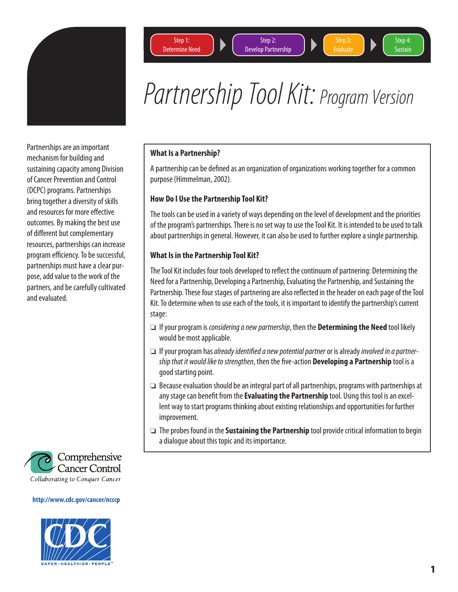

Partnerships are an important mechanism for building and sustaining capacity among Division of Cancer Prevention and Control (DCPC) programs. Partnerships bring together a diversity of skills and resources for more effective outcomes. By making the best use of different but complementary resources, partnerships can increase program efficiency. To be successful, partnerships must have a clear purpose, add value to the work of the partners, and be carefully cultivated and evaluated.



#### **http://www.cdc.gov/cancer/ncccp**



Step<sub>2</sub>: Develop Partnership



Step 4: **Sustain** 

# Partnership Tool Kit: Program Version

## **What Is a Partnership?**

A partnership can be defined as an organization of organizations working together for a common purpose (Himmelman, 2002).

## **How Do I Use the Partnership Tool Kit?**

The tools can be used in a variety of ways depending on the level of development and the priorities of the program's partnerships. There is no set way to use the Tool Kit. It is intended to be used to talk about partnerships in general. However, it can also be used to further explore a single partnership.

## **What Is in the Partnership Tool Kit?**

The Tool Kit includes four tools developed to reflect the continuum of partnering: Determining the Need for a Partnership, Developing a Partnership, Evaluating the Partnership, and Sustaining the Partnership. These four stages of partnering are also reflected in the header on each page of the Tool Kit. To determine when to use each of the tools, it is important to identify the partnership's current stage:

- ❏ If your program is considering a new partnership, then the **Determining the Need** tool likely would be most applicable.
- $\Box$  If your program has already identified a new potential partner or is already involved in a partnership that it would like to strengthen, then the five-action **Developing a Partnership** tool is a good starting point.
- ❏ Because evaluation should be an integral part of all partnerships, programs with partnerships at any stage can benefit from the **Evaluating the Partnership** tool. Using this tool is an excellent way to start programs thinking about existing relationships and opportunities for further improvement.
- ❏ The probes found in the **Sustaining the Partnership** tool provide critical information to begin a dialogue about this topic and its importance.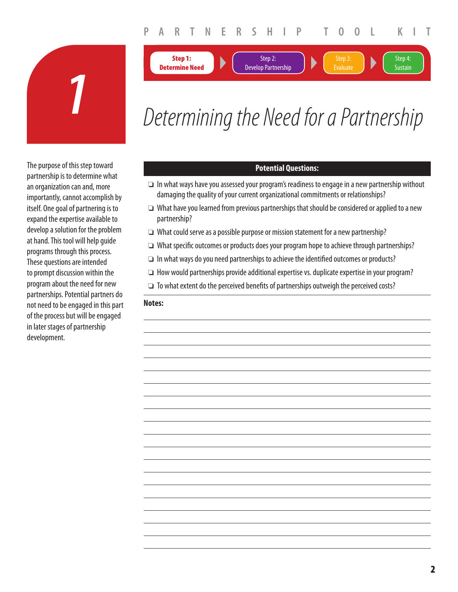Step 2: Develop Partnership Step 4: **Sustain** 

Evaluate



# *1* Determining the Need for a Partnership

The purpose of this step toward partnership is to determine what an organization can and, more importantly, cannot accomplish by itself. One goal of partnering is to expand the expertise available to develop a solution for the problem at hand. This tool will help guide programs through this process. These questions are intended to prompt discussion within the program about the need for new partnerships. Potential partners do not need to be engaged in this part of the process but will be engaged in later stages of partnership development.

## **Potential Questions:**

- ❏ In what ways have you assessed your program's readiness to engage in a new partnership without damaging the quality of your current organizational commitments or relationships?
- ❏ What have you learned from previous partnerships that should be considered or applied to a new partnership?
- ❏ What could serve as a possible purpose or mission statement for a new partnership?
- ❏ What specifi c outcomes or products does your program hope to achieve through partnerships?
- $\Box$  In what ways do you need partnerships to achieve the identified outcomes or products?
- ❏ How would partnerships provide additional expertise vs. duplicate expertise in your program?
- $\Box$  To what extent do the perceived benefits of partnerships outweigh the perceived costs?

#### **Notes:**

**Step 1: Determine Need**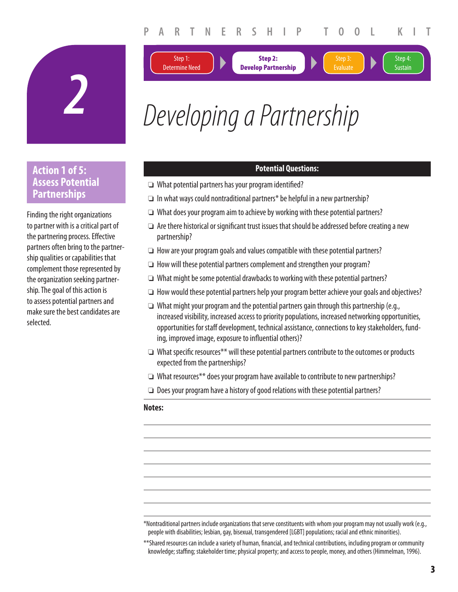**Step 2: Develop Partnership** Step 4: **Sustain** 

**Evaluat** 



# *2* Developing a Partnership

# **Action 1 of 5: Assess Potential Partnerships**

Finding the right organizations to partner with is a critical part of the partnering process. Effective partners often bring to the partnership qualities or capabilities that complement those represented by the organization seeking partnership. The goal of this action is to assess potential partners and make sure the best candidates are selected.

# **Potential Questions:**

❏ What potential partners has your program identifi ed?

Step 1: Determine Need

- ❏ In what ways could nontraditional partners\* be helpful in a new partnership?
- ❏ What does your program aim to achieve by working with these potential partners?
- $\Box$  Are there historical or significant trust issues that should be addressed before creating a new partnership?
- ❏ How are your program goals and values compatible with these potential partners?
- ❏ How will these potential partners complement and strengthen your program?
- ❏ What might be some potential drawbacks to working with these potential partners?
- ❏ How would these potential partners help your program better achieve your goals and objectives?
- ❏ What might your program and the potential partners gain through this partnership (e.g., increased visibility, increased access to priority populations, increased networking opportunities, opportunities for staff development, technical assistance, connections to key stakeholders, funding, improved image, exposure to influential others)?
- ❏ What specifi c resources\*\* will these potential partners contribute to the outcomes or products expected from the partnerships?
- ❏ What resources\*\* does your program have available to contribute to new partnerships?
- ❏ Does your program have a history of good relations with these potential partners?

#### **Notes:**

\*Nontraditional partners include organizations that serve constituents with whom your program may not usually work (e.g., people with disabilities; lesbian, gay, bisexual, transgendered [LGBT] populations; racial and ethnic minorities).

\*\*Shared resources can include a variety of human, financial, and technical contributions, including program or community knowledge; staffing; stakeholder time; physical property; and access to people, money, and others (Himmelman, 1996).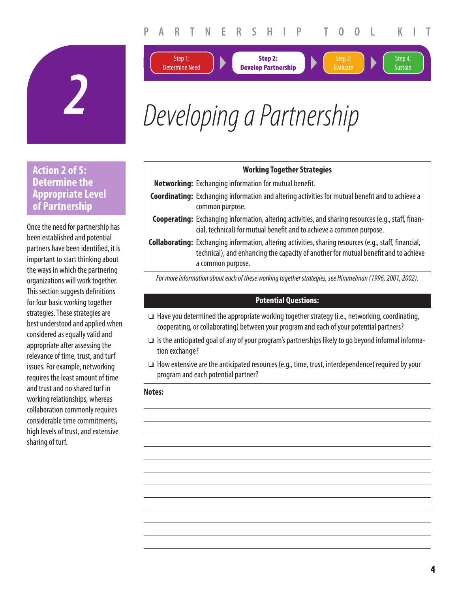



**Step 2: Develop Partnership**





Step 4: **Sustain** 

# *2* Developing a Partnership

# **Action 2 of 5: Determine the Appropriate Level of Partnership**

Once the need for partnership has been established and potential partners have been identified, it is important to start thinking about the ways in which the partnering organizations will work together. This section suggests definitions for four basic working together strategies. These strategies are best understood and applied when considered as equally valid and appropriate after assessing the relevance of time, trust, and turf issues. For example, networking requires the least amount of time and trust and no shared turf in working relationships, whereas collaboration commonly requires considerable time commitments, high levels of trust, and extensive sharing of turf.

| <b>WOTKING TOGETHER STRATEGIES</b>                            |
|---------------------------------------------------------------|
| <b>Networking:</b> Exchanging information for mutual benefit. |

**Coordinating:** Exchanging information and altering activities for mutual benefit and to achieve a common purpose.

**Working Together Strategies**

**Cooperating:** Exchanging information, altering activities, and sharing resources (e.g., staff, financial, technical) for mutual benefit and to achieve a common purpose.

**Collaborating:** Exchanging information, altering activities, sharing resources (e.g., staff, financial, technical), and enhancing the capacity of another for mutual benefit and to achieve a common purpose.

For more information about each of these working together strategies, see Himmelman (1996, 2001, 2002).

#### **Potential Questions:**

- ❏ Have you determined the appropriate working together strategy (i.e., networking, coordinating, cooperating, or collaborating) between your program and each of your potential partners?
- ❏ Is the anticipated goal of any of your program's partnerships likely to go beyond informal information exchange?
- ❏ How extensive are the anticipated resources (e.g., time, trust, interdependence) required by your program and each potential partner?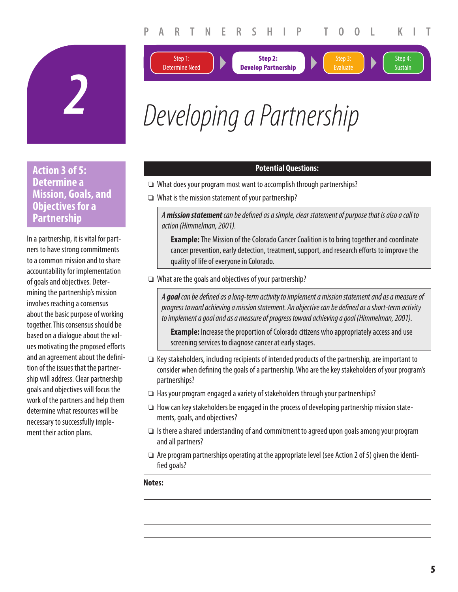**Step 2: Develop Partnership** Step 4: **Sustain** 

**Evaluate** 





# **Action 3 of 5: Determine a Mission, Goals, and Objectives for a Partnership**

In a partnership, it is vital for partners to have strong commitments to a common mission and to share accountability for implementation of goals and objectives. Determining the partnership's mission involves reaching a consensus about the basic purpose of working together. This consensus should be based on a dialogue about the values motivating the proposed efforts and an agreement about the definition of the issues that the partnership will address. Clear partnership goals and objectives will focus the work of the partners and help them determine what resources will be necessary to successfully implement their action plans.

# **Potential Questions:**

- ❏ What does your program most want to accomplish through partnerships?
- ❏ What is the mission statement of your partnership?

Step 1: Determine Need

A *mission statement* can be defined as a simple, clear statement of purpose that is also a call to action (Himmelman, 2001).

**Example:** The Mission of the Colorado Cancer Coalition is to bring together and coordinate cancer prevention, early detection, treatment, support, and research efforts to improve the quality of life of everyone in Colorado.

❏ What are the goals and objectives of your partnership?

A goal can be defined as a long-term activity to implement a mission statement and as a measure of progress toward achieving a mission statement. An objective can be defined as a short-term activity to implement a goal and as a measure of progress toward achieving a goal (Himmelman, 2001).

**Example:** Increase the proportion of Colorado citizens who appropriately access and use screening services to diagnose cancer at early stages.

- ❏ Key stakeholders, including recipients of intended products of the partnership, are important to consider when defining the goals of a partnership. Who are the key stakeholders of your program's partnerships?
- ❏ Has your program engaged a variety of stakeholders through your partnerships?
- ❏ How can key stakeholders be engaged in the process of developing partnership mission statements, goals, and objectives?
- ❏ Is there a shared understanding of and commitment to agreed upon goals among your program and all partners?
- ❏ Are program partnerships operating at the appropriate level (see Action 2 of 5) given the identified goals?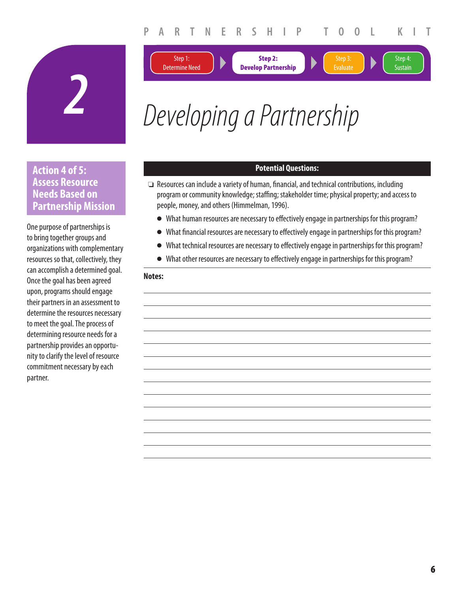**Step 2:** 

Step 4: **Sustain** 

Step 3: Evaluate





Step 1:

# *2* Developing a Partnership

# **Action 4 of 5: Assess Resource Needs Based on Partnership Mission**

One purpose of partnerships is to bring together groups and organizations with complementary resources so that, collectively, they can accomplish a determined goal. Once the goal has been agreed upon, programs should engage their partners in an assessment to determine the resources necessary to meet the goal. The process of determining resource needs for a partnership provides an opportunity to clarify the level of resource commitment necessary by each partner.

# **Potential Questions:**

- **□** Resources can include a variety of human, financial, and technical contributions, including program or community knowledge; staffing; stakeholder time; physical property; and access to people, money, and others (Himmelman, 1996).
	- What human resources are necessary to effectively engage in partnerships for this program?
	- What financial resources are necessary to effectively engage in partnerships for this program?
	- What technical resources are necessary to effectively engage in partnerships for this program?
	- What other resources are necessary to effectively engage in partnerships for this program?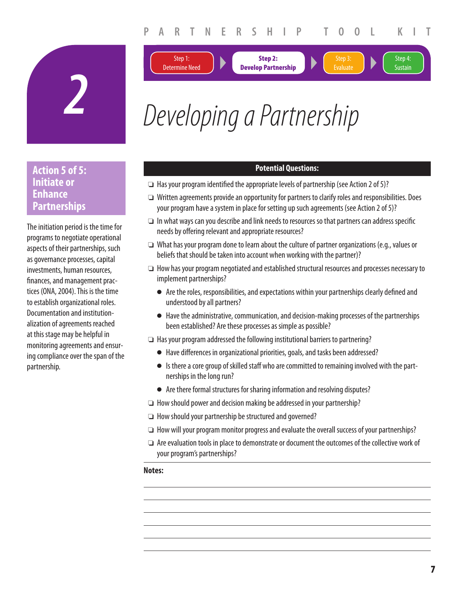**Step 2:** 

Step 4: **Sustain** 

**Evaluate** 





Step 1:

# **Action 5 of 5: Initiate or Enhance Partnerships**

The initiation period is the time for programs to negotiate operational aspects of their partnerships, such as governance processes, capital investments, human resources, finances, and management practices (ONA, 2004). This is the time to establish organizational roles. Documentation and institutionalization of agreements reached at this stage may be helpful in monitoring agreements and ensuring compliance over the span of the partnership.

## **Potential Questions:**

- $\Box$  Has your program identified the appropriate levels of partnership (see Action 2 of 5)?
- ❏ Written agreements provide an opportunity for partners to clarify roles and responsibilities. Does your program have a system in place for setting up such agreements (see Action 2 of 5)?
- ❏ In what ways can you describe and link needs to resources so that partners can address specifi c needs by offering relevant and appropriate resources?
- ❏ What has your program done to learn about the culture of partner organizations (e.g., values or beliefs that should be taken into account when working with the partner)?
- ❏ How has your program negotiated and established structural resources and processes necessary to implement partnerships?
	- Are the roles, responsibilities, and expectations within your partnerships clearly defined and understood by all partners?
	- Have the administrative, communication, and decision-making processes of the partnerships been established? Are these processes as simple as possible?
- ❏ Has your program addressed the following institutional barriers to partnering?
	- Have differences in organizational priorities, goals, and tasks been addressed?
	- Is there a core group of skilled staff who are committed to remaining involved with the partnerships in the long run?
	- Are there formal structures for sharing information and resolving disputes?
- ❏ How should power and decision making be addressed in your partnership?
- ❏ How should your partnership be structured and governed?
- ❏ How will your program monitor progress and evaluate the overall success of your partnerships?
- ❏ Are evaluation tools in place to demonstrate or document the outcomes of the collective work of your program's partnerships?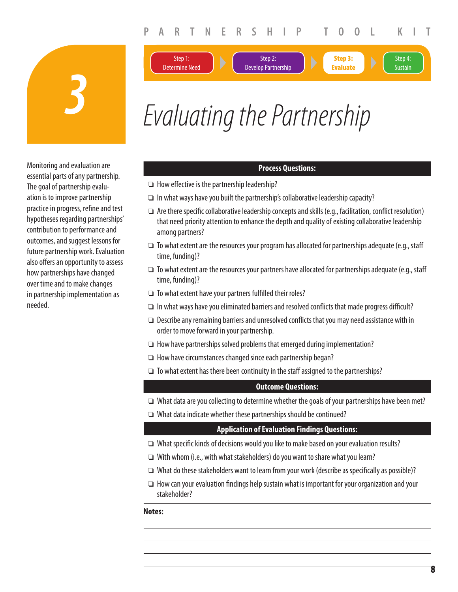

*Evaluating the Partnership* 

Step 2: Develop Partnership

# Monitoring and evaluation are essential parts of any partnership. The goal of partnership evaluation is to improve partnership practice in progress, refine and test hypotheses regarding partnerships' contribution to performance and outcomes, and suggest lessons for future partnership work. Evaluation also offers an opportunity to assess how partnerships have changed over time and to make changes in partnership implementation as needed.

#### **Process Questions:**

 $\Box$  How effective is the partnership leadership?

Step 1: Determine Need

- ❏ In what ways have you built the partnership's collaborative leadership capacity?
- $\Box$  Are there specific collaborative leadership concepts and skills (e.g., facilitation, conflict resolution) that need priority attention to enhance the depth and quality of existing collaborative leadership among partners?
- ❏ To what extent are the resources your program has allocated for partnerships adequate (e.g., staff time, funding)?
- ❏ To what extent are the resources your partners have allocated for partnerships adequate (e.g., staff time, funding)?
- $\Box$  To what extent have your partners fulfilled their roles?
- $\Box$  In what ways have you eliminated barriers and resolved conflicts that made progress difficult?
- ❏ Describe any remaining barriers and unresolved confl icts that you may need assistance with in order to move forward in your partnership.
- ❏ How have partnerships solved problems that emerged during implementation?
- ❏ How have circumstances changed since each partnership began?
- ❏ To what extent has there been continuity in the staff assigned to the partnerships?

#### **Outcome Questions:**

- ❏ What data are you collecting to determine whether the goals of your partnerships have been met?
- ❏ What data indicate whether these partnerships should be continued?

#### **Application of Evaluation Findings Questions:**

- □ What specific kinds of decisions would you like to make based on your evaluation results?
- ❏ With whom (i.e., with what stakeholders) do you want to share what you learn?
- ❏ What do these stakeholders want to learn from your work (describe as specifi cally as possible)?
- $\Box$  How can your evaluation findings help sustain what is important for your organization and your stakeholder?

#### **Notes:**

 $C_{\rm{C}}$  continued on  $\mathcal{C}_{\rm{C}}$ 

Step 4: **Sustain** 

**Step 3: Evaluate**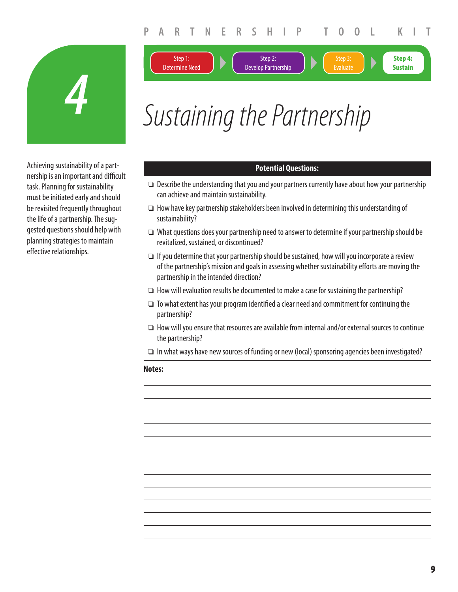**Step 4: Sustain**

Evaluate



Sustaining the Partnership

Step 2: Develop Partnership

Step 1: Determine Need

Achieving sustainability of a partnership is an important and difficult task. Planning for sustainability must be initiated early and should be revisited frequently throughout the life of a partnership. The suggested questions should help with planning strategies to maintain effective relationships.

#### **Potential Questions:**

- ❏ Describe the understanding that you and your partners currently have about how your partnership can achieve and maintain sustainability.
- ❏ How have key partnership stakeholders been involved in determining this understanding of sustainability?
- ❏ What questions does your partnership need to answer to determine if your partnership should be revitalized, sustained, or discontinued?
- ❏ If you determine that your partnership should be sustained, how will you incorporate a review of the partnership's mission and goals in assessing whether sustainability efforts are moving the partnership in the intended direction?
- ❏ How will evaluation results be documented to make a case for sustaining the partnership?
- $\Box$  To what extent has your program identified a clear need and commitment for continuing the partnership?
- ❏ How will you ensure that resources are available from internal and/or external sources to continue the partnership?
- ❏ In what ways have new sources of funding or new (local) sponsoring agencies been investigated?